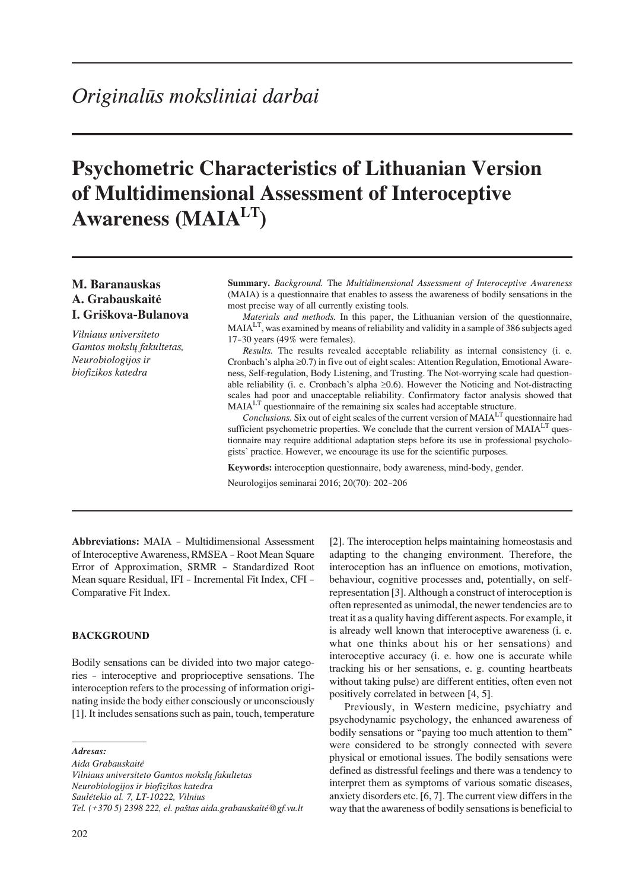# **Psychometric Characteristics of Lithuanian Version** of Multidimensional Assessment of Interoceptive **Awareness (MAIA<sup>LT</sup>)**

# M. Baranauskas A. Grabauskaitė I. Griškova-Bulanova

Vilniaus universiteto Gamtos mokslu fakultetas. Neurobiologijos ir biofizikos katedra

Summary. Background. The Multidimensional Assessment of Interoceptive Awareness (MAIA) is a questionnaire that enables to assess the awareness of bodily sensations in the most precise way of all currently existing tools.

Materials and methods. In this paper, the Lithuanian version of the questionnaire, MAIA<sup>LT</sup>, was examined by means of reliability and validity in a sample of 386 subjects aged 17-30 years (49% were females).

Results. The results revealed acceptable reliability as internal consistency (i. e. Cronbach's alpha 0.7 in five out of eight scales: Attention Regulation, Emotional Awareness, Self-regulation, Body Listening, and Trusting. The Not-worrying scale had questionable reliability (i. e. Cronbach's alpha 0.6). However the Noticing and Not-distracting scales had poor and unacceptable reliability. Confirmatory factor analysis showed that MAIA<sup>LT</sup> questionnaire of the remaining six scales had acceptable structure.

Conclusions. Six out of eight scales of the current version of MAIA<sup>LT</sup> questionnaire had sufficient psychometric properties. We conclude that the current version of MAIALT questionnaire may require additional adaptation steps before its use in professional psychologists' practice. However, we encourage its use for the scientific purposes.

Keywords: interoception questionnaire, body awareness, mind-body, gender.

Neurologijos seminarai 2016; 20(70): 202-206

Abbreviations: MAIA - Multidimensional Assessment of Interoceptive Awareness, RMSEA - Root Mean Square Error of Approximation, SRMR - Standardized Root Mean square Residual, IFI - Incremental Fit Index, CFI -Comparative Fit Index.

# **BACKGROUND**

Bodily sensations can be divided into two major categories - interoceptive and proprioceptive sensations. The interoception refers to the processing of information originating inside the body either consciously or unconsciously [1]. It includes sensations such as pain, touch, temperature

Adresas:

Aida Grabauskaitė Vilniaus universiteto Gamtos mokslu fakultetas Neurobiologijos ir biofizikos katedra Saulėtekio al. 7, LT-10222, Vilnius Tel. (+370 5) 2398 222, el. paštas aida.grabauskaitė@gf.vu.lt [2]. The interoception helps maintaining homeostasis and adapting to the changing environment. Therefore, the interoception has an influence on emotions, motivation, behaviour, cognitive processes and, potentially, on selfrepresentation [3]. Although a construct of interoception is often represented as unimodal, the newer tendencies are to treat it as a quality having different aspects. For example, it is already well known that interoceptive awareness (i. e. what one thinks about his or her sensations) and interoceptive accuracy (i. e. how one is accurate while tracking his or her sensations, e. g. counting heartbeats without taking pulse) are different entities, often even not positively correlated in between [4, 5].

Previously, in Western medicine, psychiatry and psychodynamic psychology, the enhanced awareness of bodily sensations or "paying too much attention to them" were considered to be strongly connected with severe physical or emotional issues. The bodily sensations were defined as distressful feelings and there was a tendency to interpret them as symptoms of various somatic diseases, anxiety disorders etc. [6, 7]. The current view differs in the way that the awareness of bodily sensations is beneficial to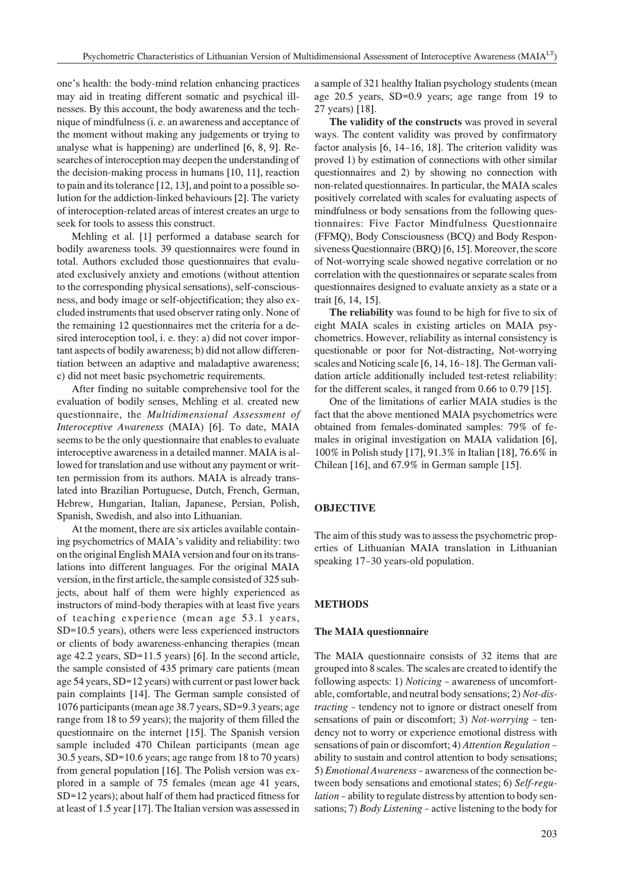one's health: the body-mind relation enhancing practices may aid in treating different somatic and psychical illnesses. By this account, the body awareness and the technique of mindfulness (i. e. an awareness and acceptance of the moment without making any judgements or trying to analyse what is happening) are underlined  $[6, 8, 9]$ . Researches of interoception may deepen the understanding of the decision-making process in humans [10, 11], reaction to pain and its tolerance  $[12, 13]$ , and point to a possible solution for the addiction-linked behaviours [2]. The variety of interoception-related areas of interest creates an urge to seek for tools to assess this construct.

Mehling et al. [1] performed a database search for bodily awareness tools. 39 questionnaires were found in total. Authors excluded those questionnaires that evaluated exclusively anxiety and emotions (without attention to the corresponding physical sensations), self-consciousness, and body image or self-objectification; they also excluded instruments that used observer rating only. None of the remaining 12 questionnaires met the criteria for a desired interoception tool, i. e. they: a) did not cover important aspects of bodily awareness; b) did not allow differentiation between an adaptive and maladaptive awareness; c) did not meet basic psychometric requirements.

After finding no suitable comprehensive tool for the evaluation of bodily senses, Mehling et al. created new questionnaire, the Multidimensional Assessment of Interoceptive Awareness (MAIA) [6]. To date, MAIA seems to be the only questionnaire that enables to evaluate interoceptive awareness in a detailed manner. MAIA is allowed for translation and use without any payment or written permission from its authors. MAIA is already translated into Brazilian Portuguese, Dutch, French, German, Hebrew, Hungarian, Italian, Japanese, Persian, Polish, Spanish, Swedish, and also into Lithuanian.

At the moment, there are six articles available containing psychometrics of MAIA's validity and reliability: two on the original English MAIA version and four on its translations into different languages. For the original MAIA version, in the first article, the sample consisted of 325 subjects, about half of them were highly experienced as instructors of mind-body therapies with at least five years of teaching experience (mean age 53.1 years,  $SD=10.5$  years), others were less experienced instructors or clients of body awareness-enhancing therapies (mean age 42.2 years, SD=11.5 years) [6]. In the second article, the sample consisted of 435 primary care patients (mean age 54 years, SD=12 years) with current or past lower back pain complaints [14]. The German sample consisted of 1076 participants (mean age 38.7 years, SD=9.3 years; age range from 18 to 59 years); the majority of them filled the questionnaire on the internet [15]. The Spanish version sample included 470 Chilean participants (mean age 30.5 years, SD=10.6 years; age range from 18 to 70 years) from general population [16]. The Polish version was explored in a sample of 75 females (mean age 41 years, SD=12 years); about half of them had practiced fitness for at least of 1.5 year [17]. The Italian version was assessed in

a sample of 321 healthy Italian psychology students (mean age 20.5 years, SD=0.9 years; age range from 19 to 27 years) [18].

The validity of the constructs was proved in several ways. The content validity was proved by confirmatory factor analysis [6, 14-16, 18]. The criterion validity was proved 1) by estimation of connections with other similar questionnaires and 2) by showing no connection with non-related questionnaires. In particular, the MAIA scales positively correlated with scales for evaluating aspects of mindfulness or body sensations from the following questionnaires: Five Factor Mindfulness Questionnaire (FFMQ), Body Consciousness (BCQ) and Body Responsiveness Questionnaire (BRQ) [6, 15]. Moreover, the score of Not-worrying scale showed negative correlation or no correlation with the question aires or separate scales from questionnaires designed to evaluate anxiety as a state or a trait [6, 14, 15].

The reliability was found to be high for five to six of eight MAIA scales in existing articles on MAIA psychometrics. However, reliability as internal consistency is questionable or poor for Not-distracting, Not-worrying scales and Noticing scale [6, 14, 16-18]. The German validation article additionally included test-retest reliability: for the different scales, it ranged from 0.66 to 0.79 [15].

One of the limitations of earlier MAIA studies is the fact that the above mentioned MAIA psychometrics were obtained from females-dominated samples: 79% of females in original investigation on MAIA validation [6], 100% in Polish study [17], 91.3% in Italian [18], 76.6% in Chilean [16], and 67.9% in German sample [15].

# **OBJECTIVE**

The aim of this study was to assess the psychometric properties of Lithuanian MAIA translation in Lithuanian speaking 17-30 years-old population.

#### **METHODS**

#### The MAIA questionnaire

The MAIA questionnaire consists of 32 items that are grouped into 8 scales. The scales are created to identify the following aspects: 1) *Noticing* - awareness of uncomfortable, comfortable, and neutral body sensations; 2) Not-distracting - tendency not to ignore or distract oneself from sensations of pain or discomfort; 3) Not-worrying - tendency not to worry or experience emotional distress with sensations of pain or discomfort; 4) Attention Regulation ability to sustain and control attention to body sensations; 5) *Emotional Awareness* - awareness of the connection between body sensations and emotional states; 6) Self-regulation - ability to regulate distress by attention to body sensations; 7) Body Listening - active listening to the body for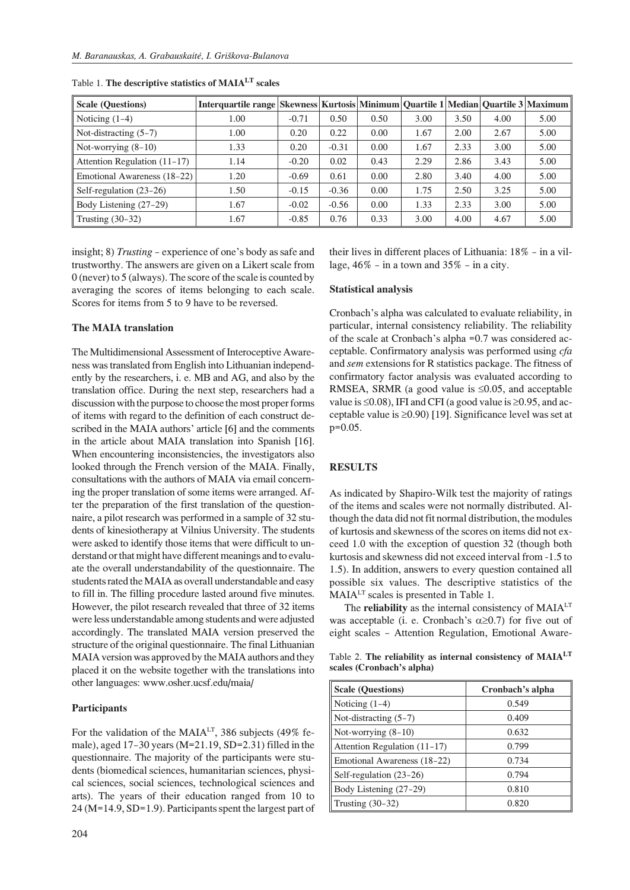| <b>Scale (Questions)</b>       | Interquartile range Skewness Kurtosis Minimum Quartile 1 Median Quartile 3 Maximum |         |         |      |      |      |      |      |
|--------------------------------|------------------------------------------------------------------------------------|---------|---------|------|------|------|------|------|
| Noticing $(1-4)$               | 1.00                                                                               | $-0.71$ | 0.50    | 0.50 | 3.00 | 3.50 | 4.00 | 5.00 |
| Not-distracting $(5-7)$        | 1.00                                                                               | 0.20    | 0.22    | 0.00 | 1.67 | 2.00 | 2.67 | 5.00 |
| Not-worrying $(8-10)$          | 1.33                                                                               | 0.20    | $-0.31$ | 0.00 | 1.67 | 2.33 | 3.00 | 5.00 |
| Attention Regulation $(11-17)$ | 1.14                                                                               | $-0.20$ | 0.02    | 0.43 | 2.29 | 2.86 | 3.43 | 5.00 |
| Emotional Awareness (18-22)    | 1.20                                                                               | $-0.69$ | 0.61    | 0.00 | 2.80 | 3.40 | 4.00 | 5.00 |
| Self-regulation $(23-26)$      | 1.50                                                                               | $-0.15$ | $-0.36$ | 0.00 | 1.75 | 2.50 | 3.25 | 5.00 |
| Body Listening (27-29)         | 1.67                                                                               | $-0.02$ | $-0.56$ | 0.00 | 1.33 | 2.33 | 3.00 | 5.00 |
| Trusting (30–32)               | 1.67                                                                               | $-0.85$ | 0.76    | 0.33 | 3.00 | 4.00 | 4.67 | 5.00 |

Table 1. **The descriptive statistics of MAIA<sup>LT</sup>** scales

in sight; 8) *Trusting* – experience of one's body as safe and trustworthy. The answers are given on a Likert scale from 0 (never) to 5 (always). The score of the scale is counted by averaging the scores of items belonging to each scale. Scores for items from 5 to 9 have to be reversed.

### **The MAIA translation**

The Multidimensional Assessment of Interoceptive Awareness was translated from English into Lithuanian independently by the researchers, i. e. MB and AG, and also by the translation office. During the next step, researchers had a discussion with the purpose to choose the most proper forms of items with regard to the definition of each construct described in the MAIA authors' article [6] and the comments in the article about MAIA translation into Spanish [16]. When encountering inconsistencies, the investigators also looked through the French version of the MAIA. Finally, consultations with the authors of MAIA via email concerning the proper translation of some items were arranged. After the preparation of the first translation of the questionnaire, a pilot research was performed in a sample of 32 students of kinesiotherapy at Vilnius University. The students were asked to identify those items that were difficult to understand or that might have different meanings and to evaluate the overall understandability of the question naire. The students rated the MAIA as overall understandable and easy to fill in. The filling procedure lasted around five minutes. However, the pilot research revealed that three of 32 items were less understandable among students and were adjusted accordingly. The translated MAIA version preserved the structure of the original questionnaire. The final Lithuanian MAIA version was approved by the MAIA authors and they placed it on the website together with the translations into other languages: www.osher.ucsf.edu/maia/

#### **Participants**

For the validation of the MAIA<sup>LT</sup>, 386 subjects (49% female), aged 17–30 years (M=21.19, SD=2.31) filled in the questionnaire. The majority of the participants were students (biomedical sciences, humanitarian sciences, physical sciences, social sciences, technological sciences and arts). The years of their education ranged from 10 to  $24$  (M=14.9, SD=1.9). Participants spent the largest part of

their lives in different places of Lithuania:  $18\%$  – in a village,  $46\%$  – in a town and  $35\%$  – in a city.

#### **Statistical analysis**

Cronbach's alpha was calculated to evaluate reliability, in particular, internal consistency reliability. The reliability of the scale at Cronbach's alpha =0.7 was considered acceptable. Confirmatory analysis was performed using *cfa* and *sem* extensions for R statistics package. The fitness of confirmatory factor analysis was evaluated according to RMSEA, SRMR (a good value is 0.05, and acceptable value is  $0.08$ , IFI and CFI (a good value is  $0.95$ , and acceptable value is  $(0.90)$  [19]. Significance level was set at p=0.05.

## **RE SULTS**

As indicated by Shapiro-Wilk test the majority of ratings of the items and scales were not normally distributed. Although the data did not fit normal distribution, the modules of kurtosis and skew ness of the scores on items did not ex ceed 1.0 with the exception of question 32 (though both kurtosis and skewness did not exceed interval from -1.5 to 1.5). In addition, answers to every question contained all possible six values. The descriptive statistics of the MAIA<sup>LT</sup> scales is presented in Table 1.

The **reliability** as the internal consistency of MAIA<sup>LT</sup> was acceptable (i. e. Cronbach's 0.7) for five out of eight scales - Attention Regulation, Emotional Aware-

Table 2. The reliability as internal consistency of MAIA<sup>LT</sup> scales (Cronbach's alpha)

| <b>Scale (Questions)</b>       | Cronbach's alpha |  |  |  |
|--------------------------------|------------------|--|--|--|
| Noticing $(1-4)$               | 0.549            |  |  |  |
| Not-distracting $(5-7)$        | 0.409            |  |  |  |
| Not-worrying $(8-10)$          | 0.632            |  |  |  |
| Attention Regulation $(11-17)$ | 0.799            |  |  |  |
| Emotional Awareness (18–22)    | 0.734            |  |  |  |
| Self-regulation (23-26)        | 0.794            |  |  |  |
| Body Listening (27-29)         | 0.810            |  |  |  |
| Trusting $(30-32)$             | 0.820            |  |  |  |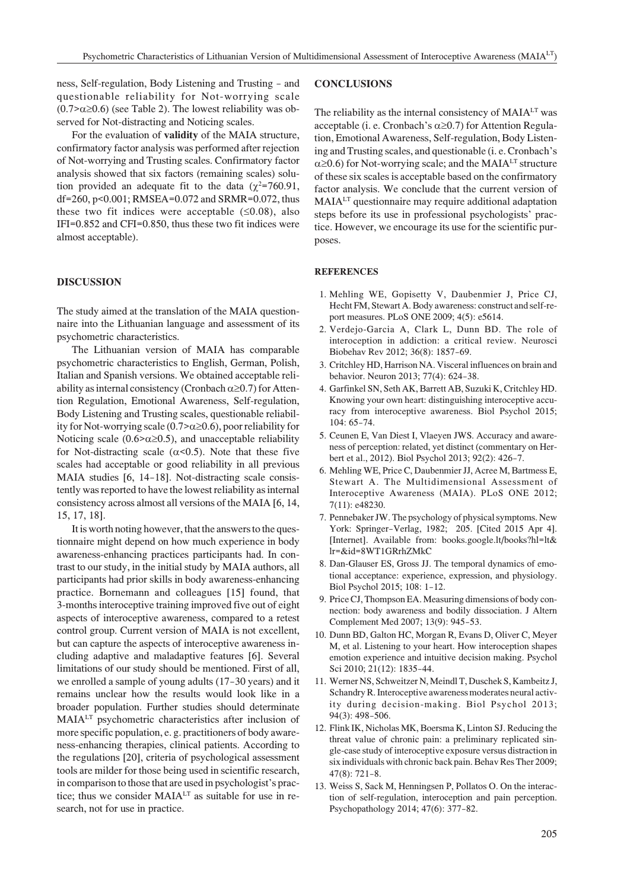ness, Self-regulation, Body Listening and Trusting - and questionable reliability for Not-worrying scale  $(0.7\textdegree 0.6)$  (see Table 2). The lowest reliability was observed for Not-distracting and Noticing scales.

For the evaluation of **validity** of the MAIA structure, confirmatory factor analysis was performed after rejection of Not-worrying and Trusting scales. Confirmatory factor analysis showed that six factors (remaining scales) solution provided an adequate fit to the data ( $2=760.91$ , df=260, p<0.001; RMSEA=0.072 and SRMR=0.072, thus these two fit indices were acceptable  $(0.08)$ , also IFI= $0.852$  and CFI= $0.850$ , thus these two fit indices were almost acceptable).

#### **DISCUSSION**

The study aimed at the translation of the MAIA questionnaire into the Lithuanian language and assessment of its psychometric characteristics.

The Lithuanian version of MAIA has comparable psychometric characteristics to English, German, Polish, Italian and Spanish versions. We obtained acceptable reliability as internal consistency (Cronbach 0.7) for Attention Regulation, Emotional Awareness, Self-regulation, Body Listening and Trusting scales, questionable reliability for Not-worrying scale  $(0.7\text{)}$  0.6), poor reliability for Noticing scale  $(0.6$ > 0.5), and unacceptable reliability for Not-distracting scale  $($  <0.5). Note that these five scales had acceptable or good reliability in all previous MAIA studies [6, 14-18]. Not-distracting scale consistently was reported to have the lowest reliability as internal consistency across almost all versions of the MAIA [6, 14, 15, 17, 18].

It is worth noting however, that the answers to the question naire might depend on how much experience in body awareness-enhancing practices participants had. In contrast to our study, in the initial study by MAIA authors, all participants had prior skills in body awareness-enhancing practice. Bornemann and colleagues [15] found, that 3-months interoceptive training improved five out of eight aspects of interoceptive awareness, compared to a retest control group. Current version of MAIA is not excellent, but can capture the aspects of interoceptive awareness including adaptive and maladaptive features [6]. Several limitations of our study should be mentioned. First of all, we enrolled a sample of young adults (17–30 years) and it remains unclear how the results would look like in a broader population. Further studies should determinate  $MAIA<sup>LT</sup>$  psychometric characteristics after inclusion of more specific population, e. g. practitioners of body awareness-enhancing therapies, clinical patients. According to the regulations [20], criteria of psychological assessment tools are milder for those being used in scientific research, in comparison to those that are used in psychologist's practice; thus we consider MAIALT as suitable for use in research, not for use in practice.

#### **CON CLU SIONS**

The reliability as the internal consistency of  $MAIA<sup>LT</sup>$  was acceptable (i. e. Cronbach's 0.7) for Attention Regulation, Emotional Awareness, Self-regulation, Body Listening and Trusting scales, and questionable (i. e. Cronbach's

0.6) for Not-worrying scale; and the MAIA<sup>LT</sup> structure of these six scales is acceptable based on the confirmatory factor analysis. We conclude that the current version of MAIA<sup>LT</sup> questionnaire may require additional adaptation steps before its use in professional psychologists' practice. However, we encourage its use for the scientific purposes.

#### **REFERENCES**

- 1. Mehling WE, Gopisetty V, Daubenmier J, Price CJ, Hecht FM, Stewart A. Body awareness: construct and self-report measures. PLoS ONE 2009; 4(5): e5614.
- 2. Verdejo-Garcia A, Clark L, Dunn BD. The role of interoception in addiction: a critical review. Neurosci Biobehav Rev 2012; 36(8): 1857–69.
- 3. Critchley HD, Harrison NA. Visceral influences on brain and behavior. Neuron 2013; 77(4): 624-38.
- 4. Garfinkel SN, Seth AK, Barrett AB, Suzuki K, Critchley HD. Knowing your own heart: distinguishing interoceptive accuracy from interoceptive awareness. Biol Psychol 2015; 104: 65–74.
- 5. Ceunen E, Van Diest I, Vlaeven JWS. Accuracy and awareness of perception: related, yet distinct (commentary on Herbert et al., 2012). Biol Psychol 2013; 92(2): 426–7.
- 6. Mehling WE, Price C, Daubenmier JJ, Acree M, Bartmess E, Stewart A. The Multidimensional Assessment of Interoceptive Awareness (MAIA). PLoS ONE 2012; 7(11): e48230.
- 7. Pennebaker JW. The psychology of physical symptoms. New York: Springer–Verlag, 1982; 205. [Cited 2015 Apr 4]. [Internet]. Available from: books.google.lt/books?hl=lt& lr=&id=8WT1GRrhZMkC
- 8. Dan-Glauser ES, Gross JJ. The temporal dynamics of emotional acceptance: experience, expression, and physiology. Biol Psychol 2015; 108: 1–12.
- 9. Price CJ, Thompson EA. Measuring dimensions of body connection: body awareness and bodily dissociation. J Altern Complement Med 2007; 13(9): 945-53.
- 10. Dunn BD, Galton HC, Morgan R, Evans D, Oliver C, Meyer M, et al. Listening to your heart. How interoception shapes emotion experience and intuitive decision making. Psychol Sci 2010; 21(12): 1835–44.
- 11. Werner NS, Schweitzer N, Meindl T, Duschek S, Kambeitz J, Schandry R. Interoceptive awareness moderates neural activity during decision-making. Biol Psychol 2013; 94(3): 498–506.
- 12. Flink IK, Nicholas MK, Boersma K, Linton SJ. Reducing the threat value of chronic pain: a preliminary replicated single-case study of interoceptive exposure versus distraction in six individuals with chronic back pain. Behav Res Ther 2009; 47(8): 721–8.
- 13. Weiss S, Sack M, Henningsen P, Pollatos O. On the interaction of self-regulation, interoception and pain perception. Psychopathology 2014; 47(6): 377–82.